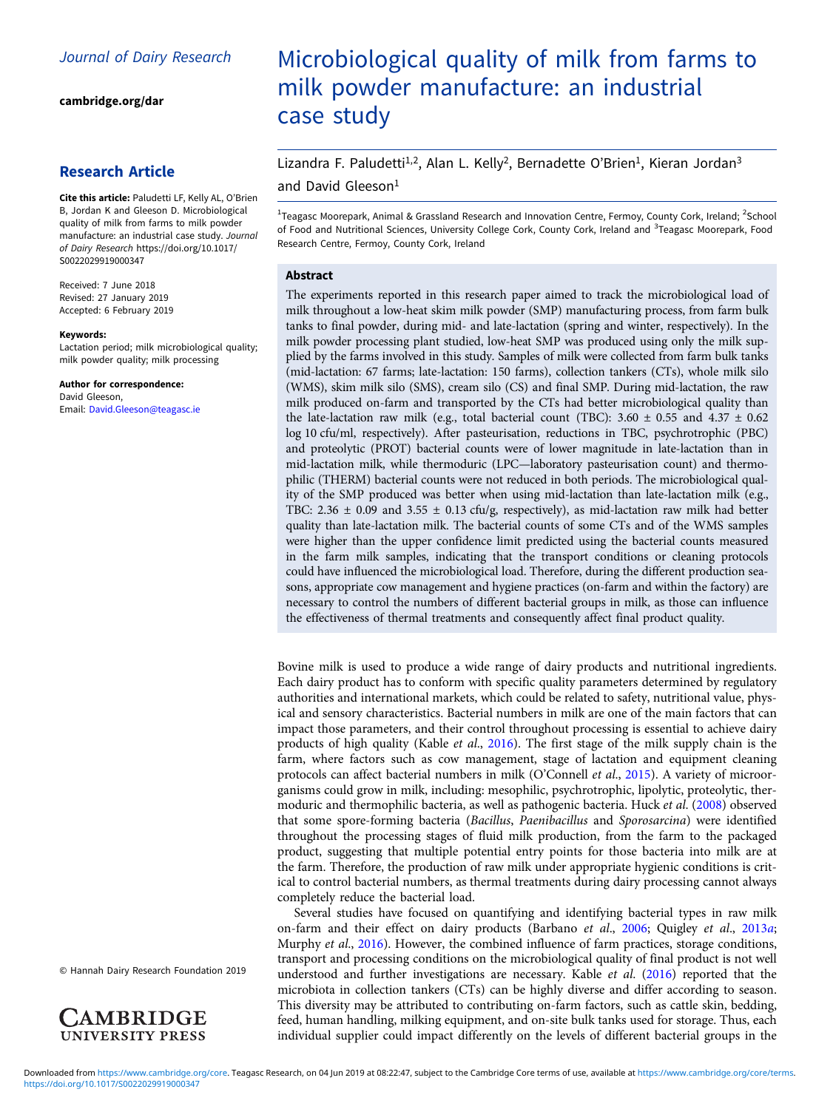[cambridge.org/dar](https://www.cambridge.org/dar)

## Research Article

Cite this article: Paludetti LF, Kelly AL, O'Brien B, Jordan K and Gleeson D. Microbiological quality of milk from farms to milk powder manufacture: an industrial case study. Journal of Dairy Research [https://doi.org/10.1017/](https://doi.org/10.1017/S0022029919000347) [S0022029919000347](https://doi.org/10.1017/S0022029919000347)

Received: 7 June 2018 Revised: 27 January 2019 Accepted: 6 February 2019

#### Keywords:

Lactation period; milk microbiological quality; milk powder quality; milk processing

Author for correspondence: David Gleeson, Email: [David.Gleeson@teagasc.ie](mailto:David.Gleeson@teagasc.ie)

# Microbiological quality of milk from farms to milk powder manufacture: an industrial case study

## Lizandra F. Paludetti<sup>1,2</sup>, Alan L. Kelly<sup>2</sup>, Bernadette O'Brien<sup>1</sup>, Kieran Jordan<sup>3</sup> and David Gleeson<sup>1</sup>

<sup>1</sup>Teagasc Moorepark, Animal & Grassland Research and Innovation Centre, Fermoy, County Cork, Ireland; <sup>2</sup>School of Food and Nutritional Sciences, University College Cork, County Cork, Ireland and <sup>3</sup>Teagasc Moorepark, Food Research Centre, Fermoy, County Cork, Ireland

### Abstract

The experiments reported in this research paper aimed to track the microbiological load of milk throughout a low-heat skim milk powder (SMP) manufacturing process, from farm bulk tanks to final powder, during mid- and late-lactation (spring and winter, respectively). In the milk powder processing plant studied, low-heat SMP was produced using only the milk supplied by the farms involved in this study. Samples of milk were collected from farm bulk tanks (mid-lactation: 67 farms; late-lactation: 150 farms), collection tankers (CTs), whole milk silo (WMS), skim milk silo (SMS), cream silo (CS) and final SMP. During mid-lactation, the raw milk produced on-farm and transported by the CTs had better microbiological quality than the late-lactation raw milk (e.g., total bacterial count (TBC):  $3.60 \pm 0.55$  and  $4.37 \pm 0.62$ log 10 cfu/ml, respectively). After pasteurisation, reductions in TBC, psychrotrophic (PBC) and proteolytic (PROT) bacterial counts were of lower magnitude in late-lactation than in mid-lactation milk, while thermoduric (LPC—laboratory pasteurisation count) and thermophilic (THERM) bacterial counts were not reduced in both periods. The microbiological quality of the SMP produced was better when using mid-lactation than late-lactation milk (e.g., TBC: 2.36  $\pm$  0.09 and 3.55  $\pm$  0.13 cfu/g, respectively), as mid-lactation raw milk had better quality than late-lactation milk. The bacterial counts of some CTs and of the WMS samples were higher than the upper confidence limit predicted using the bacterial counts measured in the farm milk samples, indicating that the transport conditions or cleaning protocols could have influenced the microbiological load. Therefore, during the different production seasons, appropriate cow management and hygiene practices (on-farm and within the factory) are necessary to control the numbers of different bacterial groups in milk, as those can influence the effectiveness of thermal treatments and consequently affect final product quality.

Bovine milk is used to produce a wide range of dairy products and nutritional ingredients. Each dairy product has to conform with specific quality parameters determined by regulatory authorities and international markets, which could be related to safety, nutritional value, physical and sensory characteristics. Bacterial numbers in milk are one of the main factors that can impact those parameters, and their control throughout processing is essential to achieve dairy products of high quality (Kable et al., [2016](#page-5-0)). The first stage of the milk supply chain is the farm, where factors such as cow management, stage of lactation and equipment cleaning protocols can affect bacterial numbers in milk (O'Connell et al., [2015](#page-5-0)). A variety of microorganisms could grow in milk, including: mesophilic, psychrotrophic, lipolytic, proteolytic, thermoduric and thermophilic bacteria, as well as pathogenic bacteria. Huck et al. [\(2008](#page-5-0)) observed that some spore-forming bacteria (Bacillus, Paenibacillus and Sporosarcina) were identified throughout the processing stages of fluid milk production, from the farm to the packaged product, suggesting that multiple potential entry points for those bacteria into milk are at the farm. Therefore, the production of raw milk under appropriate hygienic conditions is critical to control bacterial numbers, as thermal treatments during dairy processing cannot always completely reduce the bacterial load.

Several studies have focused on quantifying and identifying bacterial types in raw milk on-farm and their effect on dairy products (Barbano et al., [2006](#page-4-0); Quigley et al., [2013](#page-5-0)a; Murphy et al., [2016](#page-5-0)). However, the combined influence of farm practices, storage conditions, transport and processing conditions on the microbiological quality of final product is not well understood and further investigations are necessary. Kable et al. [\(2016\)](#page-5-0) reported that the microbiota in collection tankers (CTs) can be highly diverse and differ according to season. This diversity may be attributed to contributing on-farm factors, such as cattle skin, bedding, feed, human handling, milking equipment, and on-site bulk tanks used for storage. Thus, each individual supplier could impact differently on the levels of different bacterial groups in the

© Hannah Dairy Research Foundation 2019

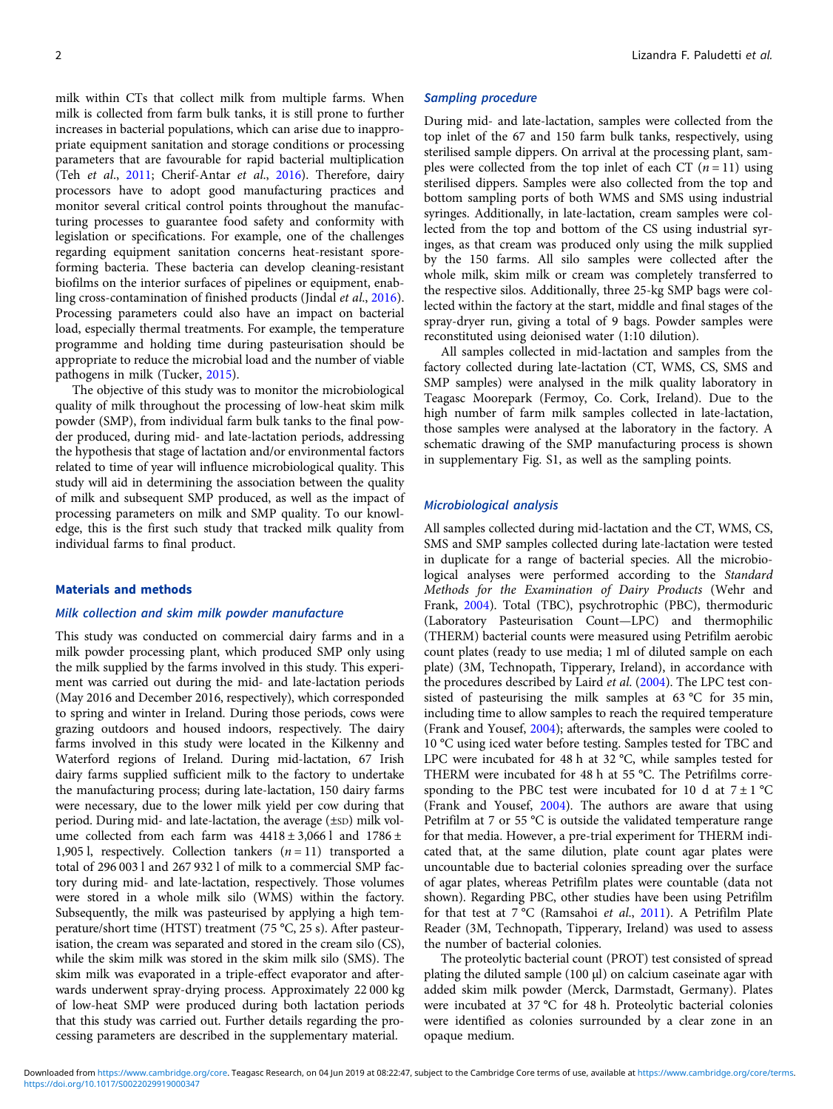milk within CTs that collect milk from multiple farms. When milk is collected from farm bulk tanks, it is still prone to further increases in bacterial populations, which can arise due to inappropriate equipment sanitation and storage conditions or processing parameters that are favourable for rapid bacterial multiplication (Teh et al., [2011](#page-5-0); Cherif-Antar et al., [2016](#page-4-0)). Therefore, dairy processors have to adopt good manufacturing practices and monitor several critical control points throughout the manufacturing processes to guarantee food safety and conformity with legislation or specifications. For example, one of the challenges regarding equipment sanitation concerns heat-resistant sporeforming bacteria. These bacteria can develop cleaning-resistant biofilms on the interior surfaces of pipelines or equipment, enabling cross-contamination of finished products (Jindal et al., [2016\)](#page-5-0). Processing parameters could also have an impact on bacterial load, especially thermal treatments. For example, the temperature programme and holding time during pasteurisation should be appropriate to reduce the microbial load and the number of viable pathogens in milk (Tucker, [2015\)](#page-5-0).

The objective of this study was to monitor the microbiological quality of milk throughout the processing of low-heat skim milk powder (SMP), from individual farm bulk tanks to the final powder produced, during mid- and late-lactation periods, addressing the hypothesis that stage of lactation and/or environmental factors related to time of year will influence microbiological quality. This study will aid in determining the association between the quality of milk and subsequent SMP produced, as well as the impact of processing parameters on milk and SMP quality. To our knowledge, this is the first such study that tracked milk quality from individual farms to final product.

#### Materials and methods

#### Milk collection and skim milk powder manufacture

This study was conducted on commercial dairy farms and in a milk powder processing plant, which produced SMP only using the milk supplied by the farms involved in this study. This experiment was carried out during the mid- and late-lactation periods (May 2016 and December 2016, respectively), which corresponded to spring and winter in Ireland. During those periods, cows were grazing outdoors and housed indoors, respectively. The dairy farms involved in this study were located in the Kilkenny and Waterford regions of Ireland. During mid-lactation, 67 Irish dairy farms supplied sufficient milk to the factory to undertake the manufacturing process; during late-lactation, 150 dairy farms were necessary, due to the lower milk yield per cow during that period. During mid- and late-lactation, the average (±sp) milk volume collected from each farm was  $4418 \pm 3,066$  l and  $1786 \pm$ 1,905 l, respectively. Collection tankers  $(n = 11)$  transported a total of 296 003 l and 267 932 l of milk to a commercial SMP factory during mid- and late-lactation, respectively. Those volumes were stored in a whole milk silo (WMS) within the factory. Subsequently, the milk was pasteurised by applying a high temperature/short time (HTST) treatment (75 °C, 25 s). After pasteurisation, the cream was separated and stored in the cream silo (CS), while the skim milk was stored in the skim milk silo (SMS). The skim milk was evaporated in a triple-effect evaporator and afterwards underwent spray-drying process. Approximately 22 000 kg of low-heat SMP were produced during both lactation periods that this study was carried out. Further details regarding the processing parameters are described in the supplementary material.

#### Sampling procedure

During mid- and late-lactation, samples were collected from the top inlet of the 67 and 150 farm bulk tanks, respectively, using sterilised sample dippers. On arrival at the processing plant, samples were collected from the top inlet of each CT  $(n = 11)$  using sterilised dippers. Samples were also collected from the top and bottom sampling ports of both WMS and SMS using industrial syringes. Additionally, in late-lactation, cream samples were collected from the top and bottom of the CS using industrial syringes, as that cream was produced only using the milk supplied by the 150 farms. All silo samples were collected after the whole milk, skim milk or cream was completely transferred to the respective silos. Additionally, three 25-kg SMP bags were collected within the factory at the start, middle and final stages of the spray-dryer run, giving a total of 9 bags. Powder samples were reconstituted using deionised water (1:10 dilution).

All samples collected in mid-lactation and samples from the factory collected during late-lactation (CT, WMS, CS, SMS and SMP samples) were analysed in the milk quality laboratory in Teagasc Moorepark (Fermoy, Co. Cork, Ireland). Due to the high number of farm milk samples collected in late-lactation, those samples were analysed at the laboratory in the factory. A schematic drawing of the SMP manufacturing process is shown in supplementary Fig. S1, as well as the sampling points.

#### Microbiological analysis

All samples collected during mid-lactation and the CT, WMS, CS, SMS and SMP samples collected during late-lactation were tested in duplicate for a range of bacterial species. All the microbiological analyses were performed according to the Standard Methods for the Examination of Dairy Products (Wehr and Frank, [2004](#page-5-0)). Total (TBC), psychrotrophic (PBC), thermoduric (Laboratory Pasteurisation Count—LPC) and thermophilic (THERM) bacterial counts were measured using Petrifilm aerobic count plates (ready to use media; 1 ml of diluted sample on each plate) (3M, Technopath, Tipperary, Ireland), in accordance with the procedures described by Laird et al. ([2004\)](#page-5-0). The LPC test consisted of pasteurising the milk samples at 63 °C for 35 min, including time to allow samples to reach the required temperature (Frank and Yousef, [2004](#page-5-0)); afterwards, the samples were cooled to 10 °C using iced water before testing. Samples tested for TBC and LPC were incubated for 48 h at 32 °C, while samples tested for THERM were incubated for 48 h at 55 °C. The Petrifilms corresponding to the PBC test were incubated for 10 d at  $7 \pm 1$  °C (Frank and Yousef, [2004\)](#page-5-0). The authors are aware that using Petrifilm at 7 or 55 °C is outside the validated temperature range for that media. However, a pre-trial experiment for THERM indicated that, at the same dilution, plate count agar plates were uncountable due to bacterial colonies spreading over the surface of agar plates, whereas Petrifilm plates were countable (data not shown). Regarding PBC, other studies have been using Petrifilm for that test at 7 °C (Ramsahoi et al., [2011](#page-5-0)). A Petrifilm Plate Reader (3M, Technopath, Tipperary, Ireland) was used to assess the number of bacterial colonies.

The proteolytic bacterial count (PROT) test consisted of spread plating the diluted sample (100 µl) on calcium caseinate agar with added skim milk powder (Merck, Darmstadt, Germany). Plates were incubated at 37 °C for 48 h. Proteolytic bacterial colonies were identified as colonies surrounded by a clear zone in an opaque medium.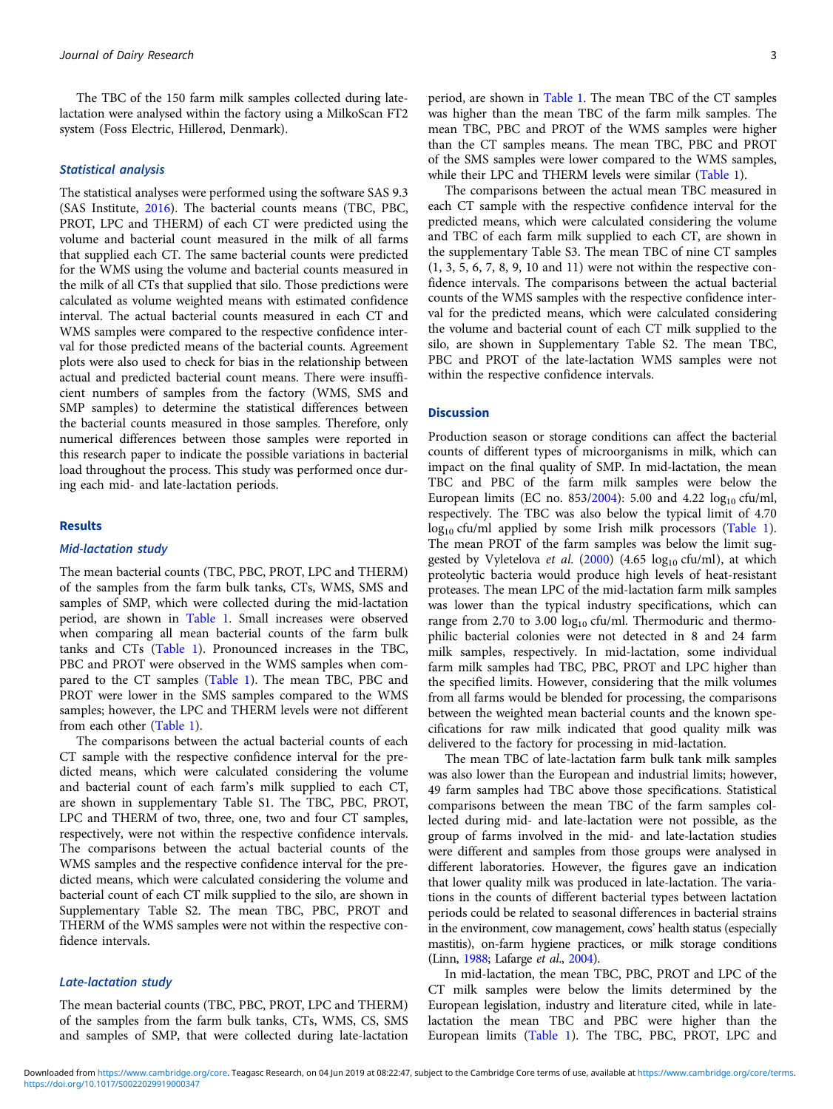The TBC of the 150 farm milk samples collected during latelactation were analysed within the factory using a MilkoScan FT2 system (Foss Electric, Hillerød, Denmark).

#### Statistical analysis

The statistical analyses were performed using the software SAS 9.3 (SAS Institute, [2016\)](#page-5-0). The bacterial counts means (TBC, PBC, PROT, LPC and THERM) of each CT were predicted using the volume and bacterial count measured in the milk of all farms that supplied each CT. The same bacterial counts were predicted for the WMS using the volume and bacterial counts measured in the milk of all CTs that supplied that silo. Those predictions were calculated as volume weighted means with estimated confidence interval. The actual bacterial counts measured in each CT and WMS samples were compared to the respective confidence interval for those predicted means of the bacterial counts. Agreement plots were also used to check for bias in the relationship between actual and predicted bacterial count means. There were insufficient numbers of samples from the factory (WMS, SMS and SMP samples) to determine the statistical differences between the bacterial counts measured in those samples. Therefore, only numerical differences between those samples were reported in this research paper to indicate the possible variations in bacterial load throughout the process. This study was performed once during each mid- and late-lactation periods.

#### Results

#### Mid-lactation study

The mean bacterial counts (TBC, PBC, PROT, LPC and THERM) of the samples from the farm bulk tanks, CTs, WMS, SMS and samples of SMP, which were collected during the mid-lactation period, are shown in [Table 1.](#page-3-0) Small increases were observed when comparing all mean bacterial counts of the farm bulk tanks and CTs [\(Table 1\)](#page-3-0). Pronounced increases in the TBC, PBC and PROT were observed in the WMS samples when compared to the CT samples [\(Table 1](#page-3-0)). The mean TBC, PBC and PROT were lower in the SMS samples compared to the WMS samples; however, the LPC and THERM levels were not different from each other ([Table 1\)](#page-3-0).

The comparisons between the actual bacterial counts of each CT sample with the respective confidence interval for the predicted means, which were calculated considering the volume and bacterial count of each farm's milk supplied to each CT, are shown in supplementary Table S1. The TBC, PBC, PROT, LPC and THERM of two, three, one, two and four CT samples, respectively, were not within the respective confidence intervals. The comparisons between the actual bacterial counts of the WMS samples and the respective confidence interval for the predicted means, which were calculated considering the volume and bacterial count of each CT milk supplied to the silo, are shown in Supplementary Table S2. The mean TBC, PBC, PROT and THERM of the WMS samples were not within the respective confidence intervals.

#### Late-lactation study

The mean bacterial counts (TBC, PBC, PROT, LPC and THERM) of the samples from the farm bulk tanks, CTs, WMS, CS, SMS and samples of SMP, that were collected during late-lactation period, are shown in [Table 1](#page-3-0). The mean TBC of the CT samples was higher than the mean TBC of the farm milk samples. The mean TBC, PBC and PROT of the WMS samples were higher than the CT samples means. The mean TBC, PBC and PROT of the SMS samples were lower compared to the WMS samples, while their LPC and THERM levels were similar [\(Table 1](#page-3-0)).

The comparisons between the actual mean TBC measured in each CT sample with the respective confidence interval for the predicted means, which were calculated considering the volume and TBC of each farm milk supplied to each CT, are shown in the supplementary Table S3. The mean TBC of nine CT samples (1, 3, 5, 6, 7, 8, 9, 10 and 11) were not within the respective confidence intervals. The comparisons between the actual bacterial counts of the WMS samples with the respective confidence interval for the predicted means, which were calculated considering the volume and bacterial count of each CT milk supplied to the silo, are shown in Supplementary Table S2. The mean TBC, PBC and PROT of the late-lactation WMS samples were not within the respective confidence intervals.

#### **Discussion**

Production season or storage conditions can affect the bacterial counts of different types of microorganisms in milk, which can impact on the final quality of SMP. In mid-lactation, the mean TBC and PBC of the farm milk samples were below the European limits (EC no. 853[/2004](#page-5-0)): 5.00 and 4.22  $log_{10}$  cfu/ml, respectively. The TBC was also below the typical limit of 4.70  $log_{10}$  cfu/ml applied by some Irish milk processors ([Table 1](#page-3-0)). The mean PROT of the farm samples was below the limit suggested by Vyletelova et al.  $(2000)$  $(2000)$   $(4.65 \log_{10} c \text{fu/ml})$ , at which proteolytic bacteria would produce high levels of heat-resistant proteases. The mean LPC of the mid-lactation farm milk samples was lower than the typical industry specifications, which can range from 2.70 to 3.00  $log_{10}$  cfu/ml. Thermoduric and thermophilic bacterial colonies were not detected in 8 and 24 farm milk samples, respectively. In mid-lactation, some individual farm milk samples had TBC, PBC, PROT and LPC higher than the specified limits. However, considering that the milk volumes from all farms would be blended for processing, the comparisons between the weighted mean bacterial counts and the known specifications for raw milk indicated that good quality milk was delivered to the factory for processing in mid-lactation.

The mean TBC of late-lactation farm bulk tank milk samples was also lower than the European and industrial limits; however, 49 farm samples had TBC above those specifications. Statistical comparisons between the mean TBC of the farm samples collected during mid- and late-lactation were not possible, as the group of farms involved in the mid- and late-lactation studies were different and samples from those groups were analysed in different laboratories. However, the figures gave an indication that lower quality milk was produced in late-lactation. The variations in the counts of different bacterial types between lactation periods could be related to seasonal differences in bacterial strains in the environment, cow management, cows' health status (especially mastitis), on-farm hygiene practices, or milk storage conditions (Linn, [1988;](#page-5-0) Lafarge et al., [2004](#page-5-0)).

In mid-lactation, the mean TBC, PBC, PROT and LPC of the CT milk samples were below the limits determined by the European legislation, industry and literature cited, while in latelactation the mean TBC and PBC were higher than the European limits ([Table 1\)](#page-3-0). The TBC, PBC, PROT, LPC and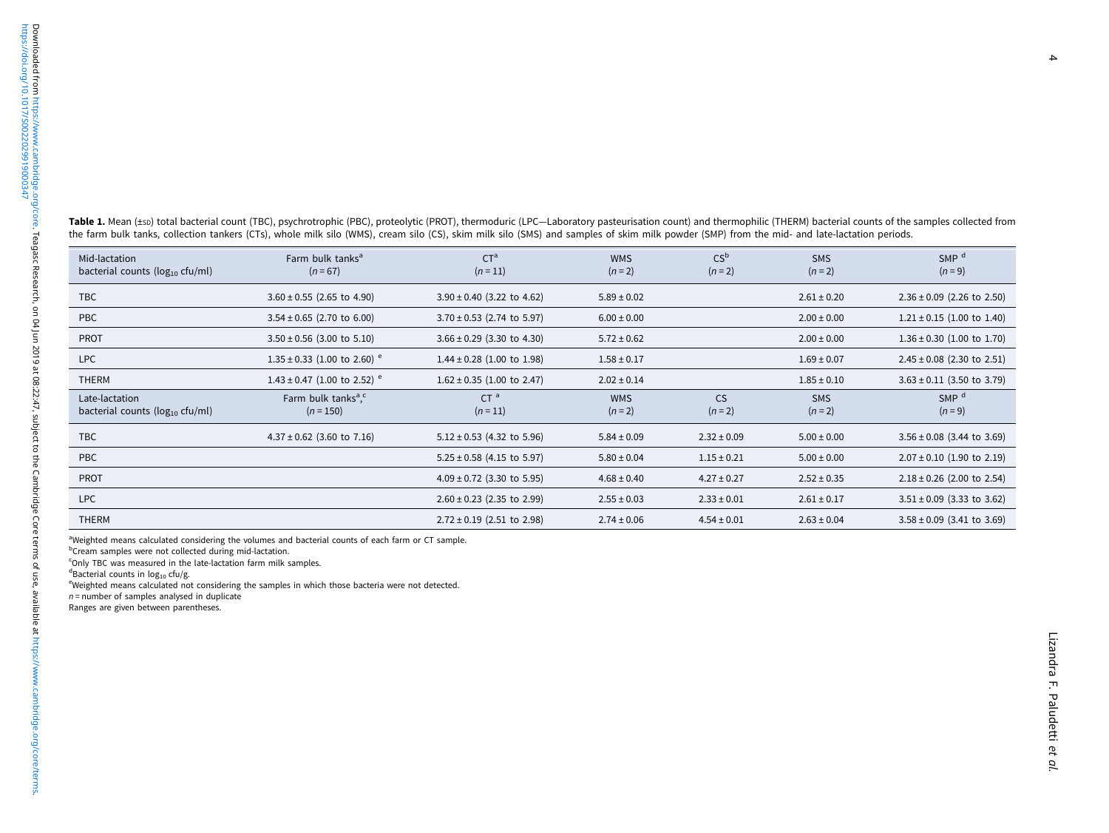| Mid-lactation<br>bacterial counts ( $log_{10}$ cfu/ml)  | Farm bulk tanks <sup>a</sup><br>$(n = 67)$                 | $CT^a$<br>$(n = 11)$           | <b>WMS</b><br>$(n=2)$ | $CS^b$<br>$(n = 2)$    | <b>SMS</b><br>$(n = 2)$ | SMP <sup>d</sup><br>$(n=9)$    |
|---------------------------------------------------------|------------------------------------------------------------|--------------------------------|-----------------------|------------------------|-------------------------|--------------------------------|
| <b>TBC</b>                                              | $3.60 \pm 0.55$ (2.65 to 4.90)                             | $3.90 \pm 0.40$ (3.22 to 4.62) | $5.89 \pm 0.02$       |                        | $2.61 \pm 0.20$         | $2.36 \pm 0.09$ (2.26 to 2.50) |
| PBC                                                     | $3.54 \pm 0.65$ (2.70 to 6.00)                             | $3.70 \pm 0.53$ (2.74 to 5.97) | $6.00 \pm 0.00$       |                        | $2.00 \pm 0.00$         | $1.21 \pm 0.15$ (1.00 to 1.40) |
| <b>PROT</b>                                             | $3.50 \pm 0.56$ (3.00 to 5.10)                             | $3.66 \pm 0.29$ (3.30 to 4.30) | $5.72 \pm 0.62$       |                        | $2.00 \pm 0.00$         | $1.36 \pm 0.30$ (1.00 to 1.70) |
| <b>LPC</b>                                              | $1.35 \pm 0.33$ (1.00 to 2.60) <sup>e</sup>                | $1.44 \pm 0.28$ (1.00 to 1.98) | $1.58 \pm 0.17$       |                        | $1.69 \pm 0.07$         | $2.45 \pm 0.08$ (2.30 to 2.51) |
| <b>THERM</b>                                            | 1.43 ± 0.47 (1.00 to 2.52) $^{\circ}$                      | $1.62 \pm 0.35$ (1.00 to 2.47) | $2.02 \pm 0.14$       |                        | $1.85 \pm 0.10$         | $3.63 \pm 0.11$ (3.50 to 3.79) |
| Late-lactation<br>bacterial counts ( $log_{10}$ cfu/ml) | Farm bulk tanks <sup>a</sup> , <sup>c</sup><br>$(n = 150)$ | CT <sup>a</sup><br>$(n = 11)$  | <b>WMS</b><br>$(n=2)$ | <b>CS</b><br>$(n = 2)$ | <b>SMS</b><br>$(n = 2)$ | SMP <sup>d</sup><br>$(n=9)$    |
| <b>TBC</b>                                              | $4.37 \pm 0.62$ (3.60 to 7.16)                             | $5.12 \pm 0.53$ (4.32 to 5.96) | $5.84 \pm 0.09$       | $2.32 \pm 0.09$        | $5.00 \pm 0.00$         | $3.56 \pm 0.08$ (3.44 to 3.69) |
| PBC                                                     |                                                            | $5.25 \pm 0.58$ (4.15 to 5.97) | $5.80 \pm 0.04$       | $1.15 \pm 0.21$        | $5.00 \pm 0.00$         | $2.07 \pm 0.10$ (1.90 to 2.19) |
| <b>PROT</b>                                             |                                                            | $4.09 \pm 0.72$ (3.30 to 5.95) | $4.68 \pm 0.40$       | $4.27 \pm 0.27$        | $2.52 \pm 0.35$         | $2.18 \pm 0.26$ (2.00 to 2.54) |
| <b>LPC</b>                                              |                                                            | $2.60 \pm 0.23$ (2.35 to 2.99) | $2.55 \pm 0.03$       | $2.33 \pm 0.01$        | $2.61 \pm 0.17$         | $3.51 \pm 0.09$ (3.33 to 3.62) |
| <b>THERM</b>                                            |                                                            | $2.72 \pm 0.19$ (2.51 to 2.98) | $2.74 \pm 0.06$       | $4.54 \pm 0.01$        | $2.63 \pm 0.04$         | $3.58 \pm 0.09$ (3.41 to 3.69) |

<span id="page-3-0"></span>Table 1. Mean (±sD) total bacterial count (TBC), psychrotrophic (PBC), proteolytic (PROT), thermoduric (LPC-Laboratory pasteurisation count) and thermophilic (THERM) bacterial counts of the samples collected from the farm bulk tanks, collection tankers (CTs), whole milk silo (WMS), cream silo (CS), skim milk silo (SMS) and samples of skim milk powder (SMP) from the mid- and late-lactation periods.

aWeighted means calculated considering the volumes and bacterial counts of each farm or CT sample.

**b<sub>Cream</sub>** samples were not collected during mid-lactation.

<sup>c</sup>Only TBC was measured in the late-lactation farm milk samples.

<sup>d</sup>Bacterial counts in log<sub>10</sub> cfu/g.

eWeighted means calculated not considering the samples in which those bacteria were not detected.

 $n$  = number of samples analysed in duplicate

Ranges are given between parentheses.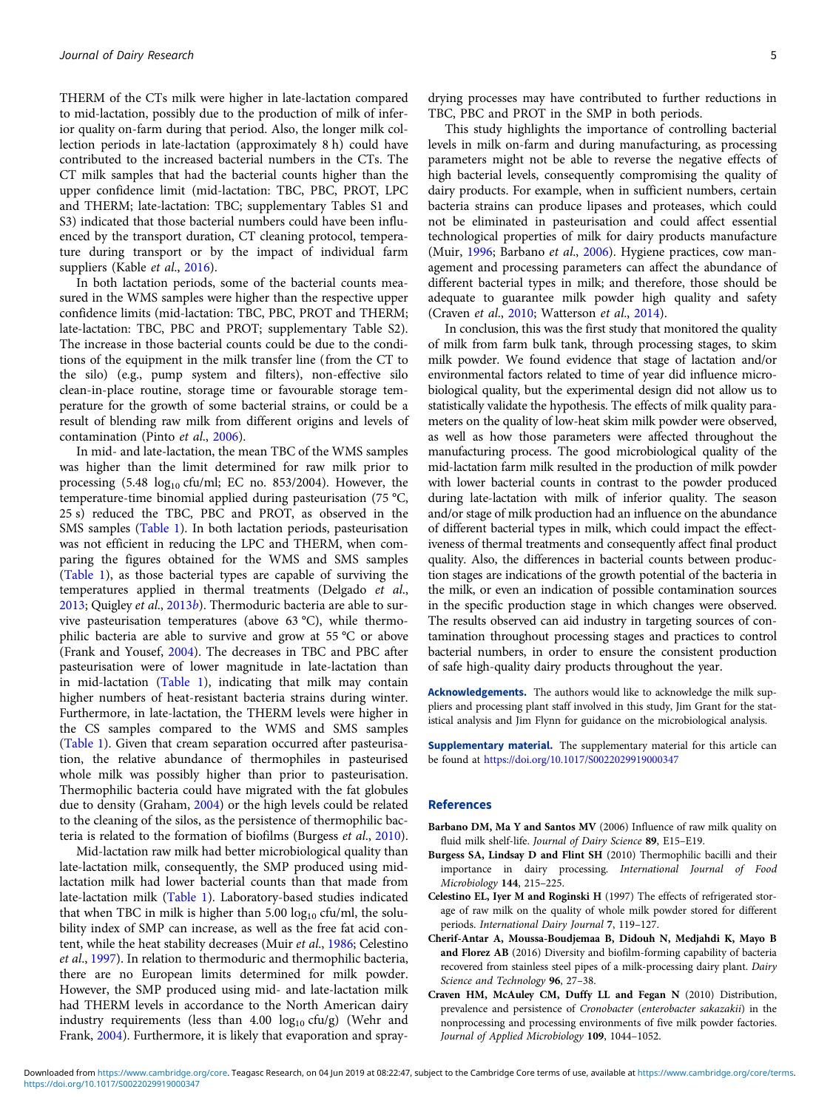<span id="page-4-0"></span>THERM of the CTs milk were higher in late-lactation compared to mid-lactation, possibly due to the production of milk of inferior quality on-farm during that period. Also, the longer milk collection periods in late-lactation (approximately 8 h) could have contributed to the increased bacterial numbers in the CTs. The CT milk samples that had the bacterial counts higher than the upper confidence limit (mid-lactation: TBC, PBC, PROT, LPC and THERM; late-lactation: TBC; supplementary Tables S1 and S3) indicated that those bacterial numbers could have been influenced by the transport duration, CT cleaning protocol, temperature during transport or by the impact of individual farm suppliers (Kable et al., [2016](#page-5-0)).

In both lactation periods, some of the bacterial counts measured in the WMS samples were higher than the respective upper confidence limits (mid-lactation: TBC, PBC, PROT and THERM; late-lactation: TBC, PBC and PROT; supplementary Table S2). The increase in those bacterial counts could be due to the conditions of the equipment in the milk transfer line (from the CT to the silo) (e.g., pump system and filters), non-effective silo clean-in-place routine, storage time or favourable storage temperature for the growth of some bacterial strains, or could be a result of blending raw milk from different origins and levels of contamination (Pinto et al., [2006\)](#page-5-0).

In mid- and late-lactation, the mean TBC of the WMS samples was higher than the limit determined for raw milk prior to processing  $(5.48 \log_{10} \text{ctu/ml};$  EC no. 853/2004). However, the temperature-time binomial applied during pasteurisation (75 °C, 25 s) reduced the TBC, PBC and PROT, as observed in the SMS samples ([Table 1\)](#page-3-0). In both lactation periods, pasteurisation was not efficient in reducing the LPC and THERM, when comparing the figures obtained for the WMS and SMS samples ([Table 1](#page-3-0)), as those bacterial types are capable of surviving the temperatures applied in thermal treatments (Delgado et al.,  $2013$ ; Quigley *et al.*,  $2013b$ ). Thermoduric bacteria are able to survive pasteurisation temperatures (above 63 °C), while thermophilic bacteria are able to survive and grow at 55 °C or above (Frank and Yousef, [2004\)](#page-5-0). The decreases in TBC and PBC after pasteurisation were of lower magnitude in late-lactation than in mid-lactation ([Table 1\)](#page-3-0), indicating that milk may contain higher numbers of heat-resistant bacteria strains during winter. Furthermore, in late-lactation, the THERM levels were higher in the CS samples compared to the WMS and SMS samples ([Table 1](#page-3-0)). Given that cream separation occurred after pasteurisation, the relative abundance of thermophiles in pasteurised whole milk was possibly higher than prior to pasteurisation. Thermophilic bacteria could have migrated with the fat globules due to density (Graham, [2004\)](#page-5-0) or the high levels could be related to the cleaning of the silos, as the persistence of thermophilic bacteria is related to the formation of biofilms (Burgess et al., 2010).

Mid-lactation raw milk had better microbiological quality than late-lactation milk, consequently, the SMP produced using midlactation milk had lower bacterial counts than that made from late-lactation milk [\(Table 1\)](#page-3-0). Laboratory-based studies indicated that when TBC in milk is higher than  $5.00 \log_{10} c \text{fu/ml}$ , the solubility index of SMP can increase, as well as the free fat acid content, while the heat stability decreases (Muir et al., [1986;](#page-5-0) Celestino et al., 1997). In relation to thermoduric and thermophilic bacteria, there are no European limits determined for milk powder. However, the SMP produced using mid- and late-lactation milk had THERM levels in accordance to the North American dairy industry requirements (less than 4.00  $log_{10}$  cfu/g) (Wehr and Frank, [2004\)](#page-5-0). Furthermore, it is likely that evaporation and spray-

drying processes may have contributed to further reductions in TBC, PBC and PROT in the SMP in both periods.

This study highlights the importance of controlling bacterial levels in milk on-farm and during manufacturing, as processing parameters might not be able to reverse the negative effects of high bacterial levels, consequently compromising the quality of dairy products. For example, when in sufficient numbers, certain bacteria strains can produce lipases and proteases, which could not be eliminated in pasteurisation and could affect essential technological properties of milk for dairy products manufacture (Muir, [1996](#page-5-0); Barbano et al., 2006). Hygiene practices, cow management and processing parameters can affect the abundance of different bacterial types in milk; and therefore, those should be adequate to guarantee milk powder high quality and safety (Craven et al., 2010; Watterson et al., [2014\)](#page-5-0).

In conclusion, this was the first study that monitored the quality of milk from farm bulk tank, through processing stages, to skim milk powder. We found evidence that stage of lactation and/or environmental factors related to time of year did influence microbiological quality, but the experimental design did not allow us to statistically validate the hypothesis. The effects of milk quality parameters on the quality of low-heat skim milk powder were observed, as well as how those parameters were affected throughout the manufacturing process. The good microbiological quality of the mid-lactation farm milk resulted in the production of milk powder with lower bacterial counts in contrast to the powder produced during late-lactation with milk of inferior quality. The season and/or stage of milk production had an influence on the abundance of different bacterial types in milk, which could impact the effectiveness of thermal treatments and consequently affect final product quality. Also, the differences in bacterial counts between production stages are indications of the growth potential of the bacteria in the milk, or even an indication of possible contamination sources in the specific production stage in which changes were observed. The results observed can aid industry in targeting sources of contamination throughout processing stages and practices to control bacterial numbers, in order to ensure the consistent production of safe high-quality dairy products throughout the year.

Acknowledgements. The authors would like to acknowledge the milk suppliers and processing plant staff involved in this study, Jim Grant for the statistical analysis and Jim Flynn for guidance on the microbiological analysis.

Supplementary material. The supplementary material for this article can be found at <https://doi.org/10.1017/S0022029919000347>

#### References

- Barbano DM, Ma Y and Santos MV (2006) Influence of raw milk quality on fluid milk shelf-life. Journal of Dairy Science 89, E15-E19.
- Burgess SA, Lindsay D and Flint SH (2010) Thermophilic bacilli and their importance in dairy processing. International Journal of Food Microbiology 144, 215–225.
- Celestino EL, Iyer M and Roginski H (1997) The effects of refrigerated storage of raw milk on the quality of whole milk powder stored for different periods. International Dairy Journal 7, 119–127.
- Cherif-Antar A, Moussa-Boudjemaa B, Didouh N, Medjahdi K, Mayo B and Florez AB (2016) Diversity and biofilm-forming capability of bacteria recovered from stainless steel pipes of a milk-processing dairy plant. Dairy Science and Technology 96, 27–38.
- Craven HM, McAuley CM, Duffy LL and Fegan N (2010) Distribution, prevalence and persistence of Cronobacter (enterobacter sakazakii) in the nonprocessing and processing environments of five milk powder factories. Journal of Applied Microbiology 109, 1044–1052.